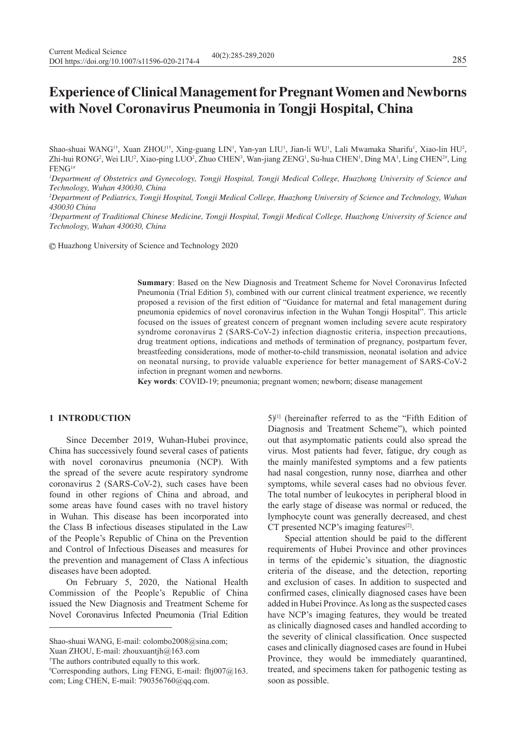# **Experience of Clinical Management for Pregnant Women and Newborns with Novel Coronavirus Pneumonia in Tongji Hospital, China**

Shao-shuai WANG<sup>1†</sup>, Xuan ZHOU<sup>1†</sup>, Xing-guang LIN<sup>1</sup>, Yan-yan LIU<sup>1</sup>, Jian-li WU<sup>1</sup>, Lali Mwamaka Sharifu<sup>1</sup>, Xiao-lin HU<sup>2</sup>, Zhi-hui RONG<sup>2</sup>, Wei LIU<sup>2</sup>, Xiao-ping LUO<sup>2</sup>, Zhuo CHEN<sup>3</sup>, Wan-jiang ZENG<sup>1</sup>, Su-hua CHEN<sup>1</sup>, Ding MA<sup>1</sup>, Ling CHEN<sup>2#</sup>, Ling FENG1#

*1 Department of Obstetrics and Gynecology, Tongji Hospital, Tongji Medical College, Huazhong University of Science and Technology, Wuhan 430030, China*

*2 Department of Pediatrics, Tongji Hospital, Tongji Medical College, Huazhong University of Science and Technology, Wuhan 430030 China*

*3 Department of Traditional Chinese Medicine, Tongji Hospital, Tongji Medical College, Huazhong University of Science and Technology, Wuhan 430030, China*

Huazhong University of Science and Technology 2020

**Summary**: Based on the New Diagnosis and Treatment Scheme for Novel Coronavirus Infected Pneumonia (Trial Edition 5), combined with our current clinical treatment experience, we recently proposed a revision of the first edition of "Guidance for maternal and fetal management during pneumonia epidemics of novel coronavirus infection in the Wuhan Tongji Hospital". This article focused on the issues of greatest concern of pregnant women including severe acute respiratory syndrome coronavirus 2 (SARS-CoV-2) infection diagnostic criteria, inspection precautions, drug treatment options, indications and methods of termination of pregnancy, postpartum fever, breastfeeding considerations, mode of mother-to-child transmission, neonatal isolation and advice on neonatal nursing, to provide valuable experience for better management of SARS-CoV-2 infection in pregnant women and newborns.

**Key words**: COVID-19; pneumonia; pregnant women; newborn; disease management

### **1 INTRODUCTION**

Since December 2019, Wuhan-Hubei province, China has successively found several cases of patients with novel coronavirus pneumonia (NCP). With the spread of the severe acute respiratory syndrome coronavirus 2 (SARS-CoV-2), such cases have been found in other regions of China and abroad, and some areas have found cases with no travel history in Wuhan. This disease has been incorporated into the Class B infectious diseases stipulated in the Law of the People's Republic of China on the Prevention and Control of Infectious Diseases and measures for the prevention and management of Class A infectious diseases have been adopted.

On February 5, 2020, the National Health Commission of the People's Republic of China issued the New Diagnosis and Treatment Scheme for Novel Coronavirus Infected Pneumonia (Trial Edition

Xuan ZHOU, E-mail: zhouxuantjh@163.com

† The authors contributed equally to this work.

 $5$ <sup>[1]</sup> (hereinafter referred to as the "Fifth Edition of Diagnosis and Treatment Scheme"), which pointed out that asymptomatic patients could also spread the virus. Most patients had fever, fatigue, dry cough as the mainly manifested symptoms and a few patients had nasal congestion, runny nose, diarrhea and other symptoms, while several cases had no obvious fever. The total number of leukocytes in peripheral blood in the early stage of disease was normal or reduced, the lymphocyte count was generally decreased, and chest CT presented NCP's imaging features<sup>[2]</sup>.

Special attention should be paid to the different requirements of Hubei Province and other provinces in terms of the epidemic's situation, the diagnostic criteria of the disease, and the detection, reporting and exclusion of cases. In addition to suspected and confirmed cases, clinically diagnosed cases have been added in Hubei Province. As long as the suspected cases have NCP's imaging features, they would be treated as clinically diagnosed cases and handled according to the severity of clinical classification. Once suspected cases and clinically diagnosed cases are found in Hubei Province, they would be immediately quarantined, treated, and specimens taken for pathogenic testing as soon as possible.

Shao-shuai WANG, E-mail: colombo2008@sina.com;

<sup>#</sup> Corresponding authors, Ling FENG, E-mail: fltj007@163. com; Ling CHEN, E-mail: 790356760@qq.com.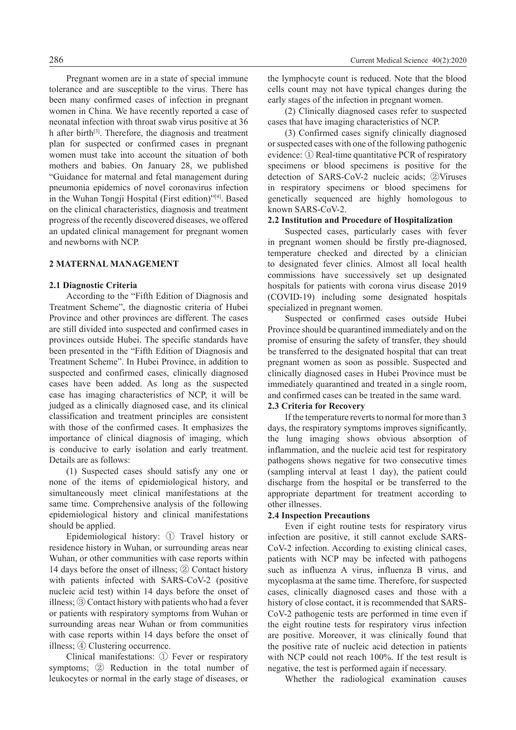Pregnant women are in a state of special immune tolerance and are susceptible to the virus. There has been many confirmed cases of infection in pregnant women in China. We have recently reported a case of neonatal infection with throat swab virus positive at 36 h after birth[3]. Therefore, the diagnosis and treatment plan for suspected or confirmed cases in pregnant women must take into account the situation of both mothers and babies. On January 28, we published "Guidance for maternal and fetal management during pneumonia epidemics of novel coronavirus infection in the Wuhan Tongji Hospital (First edition)"[4]. Based on the clinical characteristics, diagnosis and treatment progress of the recently discovered diseases, we offered an updated clinical management for pregnant women and newborns with NCP.

# **2 MATERNAL MANAGEMENT**

# **2.1 Diagnostic Criteria**

According to the "Fifth Edition of Diagnosis and Treatment Scheme", the diagnostic criteria of Hubei Province and other provinces are different. The cases are still divided into suspected and confirmed cases in provinces outside Hubei. The specific standards have been presented in the "Fifth Edition of Diagnosis and Treatment Scheme". In Hubei Province, in addition to suspected and confirmed cases, clinically diagnosed cases have been added. As long as the suspected case has imaging characteristics of NCP, it will be judged as a clinically diagnosed case, and its clinical classification and treatment principles are consistent with those of the confirmed cases. It emphasizes the importance of clinical diagnosis of imaging, which is conducive to early isolation and early treatment. Details are as follows:

(1) Suspected cases should satisfy any one or none of the items of epidemiological history, and simultaneously meet clinical manifestations at the same time. Comprehensive analysis of the following epidemiological history and clinical manifestations should be applied.

Epidemiological history: ① Travel history or residence history in Wuhan, or surrounding areas near Wuhan, or other communities with case reports within 14 days before the onset of illness; ② Contact history with patients infected with SARS-CoV-2 (positive nucleic acid test) within 14 days before the onset of illness; ③ Contact history with patients who had a fever or patients with respiratory symptoms from Wuhan or surrounding areas near Wuhan or from communities with case reports within 14 days before the onset of illness; ④ Clustering occurrence.

Clinical manifestations: ① Fever or respiratory symptoms; ② Reduction in the total number of leukocytes or normal in the early stage of diseases, or the lymphocyte count is reduced. Note that the blood cells count may not have typical changes during the early stages of the infection in pregnant women.

(2) Clinically diagnosed cases refer to suspected cases that have imaging characteristics of NCP.

(3) Confirmed cases signify clinically diagnosed or suspected cases with one of the following pathogenic evidence: ① Real-time quantitative PCR of respiratory specimens or blood specimens is positive for the detection of SARS-CoV-2 nucleic acids; ②Viruses in respiratory specimens or blood specimens for genetically sequenced are highly homologous to known SARS-CoV-2.

#### **2.2 Institution and Procedure of Hospitalization**

Suspected cases, particularly cases with fever in pregnant women should be firstly pre-diagnosed, temperature checked and directed by a clinician to designated fever clinics. Almost all local health commissions have successively set up designated hospitals for patients with corona virus disease 2019 (COVID-19) including some designated hospitals specialized in pregnant women.

Suspected or confirmed cases outside Hubei Province should be quarantined immediately and on the promise of ensuring the safety of transfer, they should be transferred to the designated hospital that can treat pregnant women as soon as possible. Suspected and clinically diagnosed cases in Hubei Province must be immediately quarantined and treated in a single room, and confirmed cases can be treated in the same ward.

### **2.3 Criteria for Recovery**

If the temperature reverts to normal for more than 3 days, the respiratory symptoms improves significantly, the lung imaging shows obvious absorption of inflammation, and the nucleic acid test for respiratory pathogens shows negative for two consecutive times (sampling interval at least 1 day), the patient could discharge from the hospital or be transferred to the appropriate department for treatment according to other illnesses.

#### **2.4 Inspection Precautions**

Even if eight routine tests for respiratory virus infection are positive, it still cannot exclude SARS-CoV-2 infection. According to existing clinical cases, patients with NCP may be infected with pathogens such as influenza A virus, influenza B virus, and mycoplasma at the same time. Therefore, for suspected cases, clinically diagnosed cases and those with a history of close contact, it is recommended that SARS-CoV-2 pathogenic tests are performed in time even if the eight routine tests for respiratory virus infection are positive. Moreover, it was clinically found that the positive rate of nucleic acid detection in patients with NCP could not reach 100%. If the test result is negative, the test is performed again if necessary.

Whether the radiological examination causes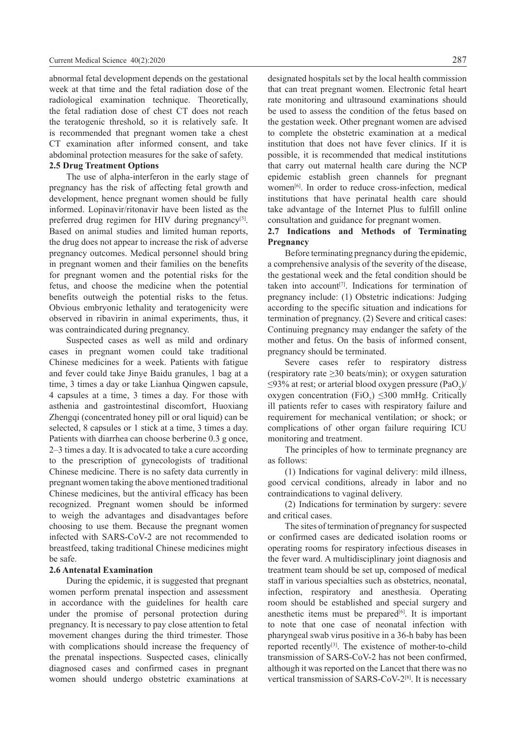abnormal fetal development depends on the gestational week at that time and the fetal radiation dose of the radiological examination technique. Theoretically, the fetal radiation dose of chest CT does not reach the teratogenic threshold, so it is relatively safe. It is recommended that pregnant women take a chest CT examination after informed consent, and take abdominal protection measures for the sake of safety.

# **2.5 Drug Treatment Options**

The use of alpha-interferon in the early stage of pregnancy has the risk of affecting fetal growth and development, hence pregnant women should be fully informed. Lopinavir/ritonavir have been listed as the preferred drug regimen for HIV during pregnancy<sup>[5]</sup>. Based on animal studies and limited human reports, the drug does not appear to increase the risk of adverse pregnancy outcomes. Medical personnel should bring in pregnant women and their families on the benefits for pregnant women and the potential risks for the fetus, and choose the medicine when the potential benefits outweigh the potential risks to the fetus. Obvious embryonic lethality and teratogenicity were observed in ribavirin in animal experiments, thus, it was contraindicated during pregnancy.

Suspected cases as well as mild and ordinary cases in pregnant women could take traditional Chinese medicines for a week. Patients with fatigue and fever could take Jinye Baidu granules, 1 bag at a time, 3 times a day or take Lianhua Qingwen capsule, 4 capsules at a time, 3 times a day. For those with asthenia and gastrointestinal discomfort, Huoxiang Zhengqi (concentrated honey pill or oral liquid) can be selected, 8 capsules or 1 stick at a time, 3 times a day. Patients with diarrhea can choose berberine 0.3 g once, 2–3 times a day. It is advocated to take a cure according to the prescription of gynecologists of traditional Chinese medicine. There is no safety data currently in pregnant women taking the above mentioned traditional Chinese medicines, but the antiviral efficacy has been recognized. Pregnant women should be informed to weigh the advantages and disadvantages before choosing to use them. Because the pregnant women infected with SARS-CoV-2 are not recommended to breastfeed, taking traditional Chinese medicines might be safe.

### **2.6 Antenatal Examination**

During the epidemic, it is suggested that pregnant women perform prenatal inspection and assessment in accordance with the guidelines for health care under the promise of personal protection during pregnancy. It is necessary to pay close attention to fetal movement changes during the third trimester. Those with complications should increase the frequency of the prenatal inspections. Suspected cases, clinically diagnosed cases and confirmed cases in pregnant women should undergo obstetric examinations at

designated hospitals set by the local health commission that can treat pregnant women. Electronic fetal heart rate monitoring and ultrasound examinations should be used to assess the condition of the fetus based on the gestation week. Other pregnant women are advised to complete the obstetric examination at a medical institution that does not have fever clinics. If it is possible, it is recommended that medical institutions that carry out maternal health care during the NCP epidemic establish green channels for pregnant women[6]. In order to reduce cross-infection, medical institutions that have perinatal health care should take advantage of the Internet Plus to fulfill online consultation and guidance for pregnant women.

### **2.7 Indications and Methods of Terminating Pregnancy**

Before terminating pregnancy during the epidemic, a comprehensive analysis of the severity of the disease, the gestational week and the fetal condition should be taken into account<sup>[7]</sup>. Indications for termination of pregnancy include: (1) Obstetric indications: Judging according to the specific situation and indications for termination of pregnancy. (2) Severe and critical cases: Continuing pregnancy may endanger the safety of the mother and fetus. On the basis of informed consent, pregnancy should be terminated.

Severe cases refer to respiratory distress (respiratory rate  $\geq$ 30 beats/min); or oxygen saturation  $\leq$ 93% at rest; or arterial blood oxygen pressure (PaO<sub>2</sub>)/ oxygen concentration (FiO<sub>2</sub>)  $\leq$ 300 mmHg. Critically ill patients refer to cases with respiratory failure and requirement for mechanical ventilation; or shock; or complications of other organ failure requiring ICU monitoring and treatment.

The principles of how to terminate pregnancy are as follows:

(1) Indications for vaginal delivery: mild illness, good cervical conditions, already in labor and no contraindications to vaginal delivery.

(2) Indications for termination by surgery: severe and critical cases.

The sites of termination of pregnancy for suspected or confirmed cases are dedicated isolation rooms or operating rooms for respiratory infectious diseases in the fever ward. A multidisciplinary joint diagnosis and treatment team should be set up, composed of medical staff in various specialties such as obstetrics, neonatal, infection, respiratory and anesthesia. Operating room should be established and special surgery and anesthetic items must be prepared $[6]$ . It is important to note that one case of neonatal infection with pharyngeal swab virus positive in a 36-h baby has been reported recently<sup>[3]</sup>. The existence of mother-to-child transmission of SARS-CoV-2 has not been confirmed, although it was reported on the Lancet that there was no vertical transmission of SARS-CoV-2[8]. It is necessary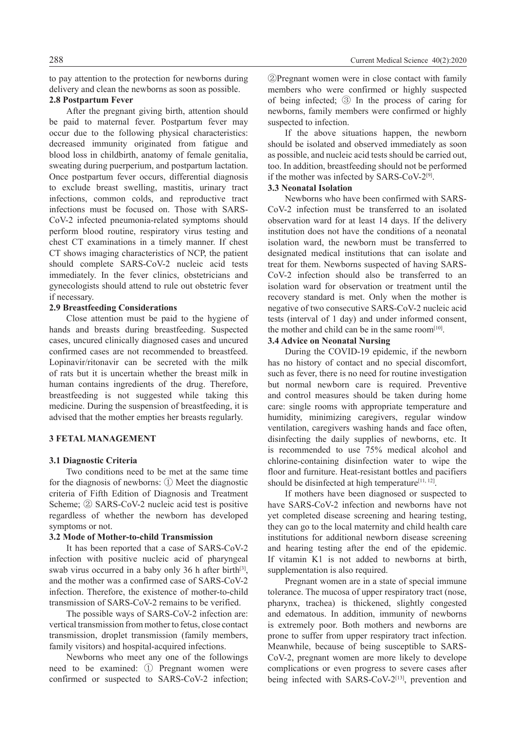to pay attention to the protection for newborns during delivery and clean the newborns as soon as possible.

# **2.8 Postpartum Fever**

After the pregnant giving birth, attention should be paid to maternal fever. Postpartum fever may occur due to the following physical characteristics: decreased immunity originated from fatigue and blood loss in childbirth, anatomy of female genitalia, sweating during puerperium, and postpartum lactation. Once postpartum fever occurs, differential diagnosis to exclude breast swelling, mastitis, urinary tract infections, common colds, and reproductive tract infections must be focused on. Those with SARS-CoV-2 infected pneumonia-related symptoms should perform blood routine, respiratory virus testing and chest CT examinations in a timely manner. If chest CT shows imaging characteristics of NCP, the patient should complete SARS-CoV-2 nucleic acid tests immediately. In the fever clinics, obstetricians and gynecologists should attend to rule out obstetric fever if necessary.

### **2.9 Breastfeeding Considerations**

Close attention must be paid to the hygiene of hands and breasts during breastfeeding. Suspected cases, uncured clinically diagnosed cases and uncured confirmed cases are not recommended to breastfeed. Lopinavir/ritonavir can be secreted with the milk of rats but it is uncertain whether the breast milk in human contains ingredients of the drug. Therefore, breastfeeding is not suggested while taking this medicine. During the suspension of breastfeeding, it is advised that the mother empties her breasts regularly.

### **3 FETAL MANAGEMENT**

### **3.1 Diagnostic Criteria**

Two conditions need to be met at the same time for the diagnosis of newborns: ① Meet the diagnostic criteria of Fifth Edition of Diagnosis and Treatment Scheme; ② SARS-CoV-2 nucleic acid test is positive regardless of whether the newborn has developed symptoms or not.

# **3.2 Mode of Mother-to-child Transmission**

It has been reported that a case of SARS-CoV-2 infection with positive nucleic acid of pharyngeal swab virus occurred in a baby only 36 h after birth $[3]$ , and the mother was a confirmed case of SARS-CoV-2 infection. Therefore, the existence of mother-to-child transmission of SARS-CoV-2 remains to be verified.

The possible ways of SARS-CoV-2 infection are: vertical transmission from mother to fetus, close contact transmission, droplet transmission (family members, family visitors) and hospital-acquired infections.

Newborns who meet any one of the followings need to be examined: ① Pregnant women were confirmed or suspected to SARS-CoV-2 infection;

②Pregnant women were in close contact with family members who were confirmed or highly suspected of being infected; ③ In the process of caring for newborns, family members were confirmed or highly suspected to infection.

If the above situations happen, the newborn should be isolated and observed immediately as soon as possible, and nucleic acid tests should be carried out, too. In addition, breastfeeding should not be performed if the mother was infected by SARS-CoV-2[9].

# **3.3 Neonatal Isolation**

Newborns who have been confirmed with SARS-CoV-2 infection must be transferred to an isolated observation ward for at least 14 days. If the delivery institution does not have the conditions of a neonatal isolation ward, the newborn must be transferred to designated medical institutions that can isolate and treat for them. Newborns suspected of having SARS-CoV-2 infection should also be transferred to an isolation ward for observation or treatment until the recovery standard is met. Only when the mother is negative of two consecutive SARS-CoV-2 nucleic acid tests (interval of 1 day) and under informed consent, the mother and child can be in the same room $[10]$ .

# **3.4 Advice on Neonatal Nursing**

During the COVID-19 epidemic, if the newborn has no history of contact and no special discomfort, such as fever, there is no need for routine investigation but normal newborn care is required. Preventive and control measures should be taken during home care: single rooms with appropriate temperature and humidity, minimizing caregivers, regular window ventilation, caregivers washing hands and face often, disinfecting the daily supplies of newborns, etc. It is recommended to use 75% medical alcohol and chlorine-containing disinfection water to wipe the floor and furniture. Heat-resistant bottles and pacifiers should be disinfected at high temperature<sup>[11, 12]</sup>.

If mothers have been diagnosed or suspected to have SARS-CoV-2 infection and newborns have not yet completed disease screening and hearing testing, they can go to the local maternity and child health care institutions for additional newborn disease screening and hearing testing after the end of the epidemic. If vitamin K1 is not added to newborns at birth, supplementation is also required.

Pregnant women are in a state of special immune tolerance. The mucosa of upper respiratory tract (nose, pharynx, trachea) is thickened, slightly congested and edematous. In addition, immunity of newborns is extremely poor. Both mothers and newborns are prone to suffer from upper respiratory tract infection. Meanwhile, because of being susceptible to SARS-CoV-2, pregnant women are more likely to develope complications or even progress to severe cases after being infected with SARS-CoV-2<sup>[13]</sup>, prevention and